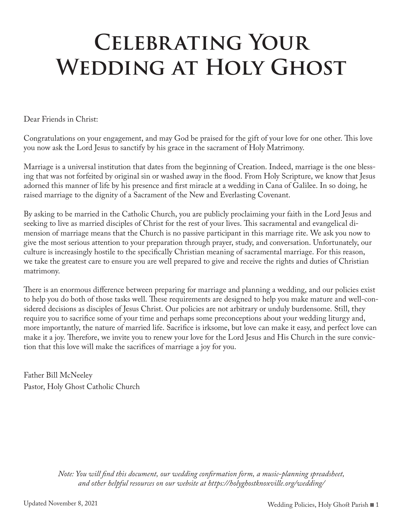# **Celebrating Your**  WEDDING AT HOLY GHOST

Dear Friends in Christ:

Congratulations on your engagement, and may God be praised for the gift of your love for one other. This love you now ask the Lord Jesus to sanctify by his grace in the sacrament of Holy Matrimony.

Marriage is a universal institution that dates from the beginning of Creation. Indeed, marriage is the one blessing that was not forfeited by original sin or washed away in the flood. From Holy Scripture, we know that Jesus adorned this manner of life by his presence and first miracle at a wedding in Cana of Galilee. In so doing, he raised marriage to the dignity of a Sacrament of the New and Everlasting Covenant.

By asking to be married in the Catholic Church, you are publicly proclaiming your faith in the Lord Jesus and seeking to live as married disciples of Christ for the rest of your lives. This sacramental and evangelical dimension of marriage means that the Church is no passive participant in this marriage rite. We ask you now to give the most serious attention to your preparation through prayer, study, and conversation. Unfortunately, our culture is increasingly hostile to the specifically Christian meaning of sacramental marriage. For this reason, we take the greatest care to ensure you are well prepared to give and receive the rights and duties of Christian matrimony.

There is an enormous difference between preparing for marriage and planning a wedding, and our policies exist to help you do both of those tasks well. These requirements are designed to help you make mature and well-considered decisions as disciples of Jesus Christ. Our policies are not arbitrary or unduly burdensome. Still, they require you to sacrifice some of your time and perhaps some preconceptions about your wedding liturgy and, more importantly, the nature of married life. Sacrifice is irksome, but love can make it easy, and perfect love can make it a joy. Therefore, we invite you to renew your love for the Lord Jesus and His Church in the sure conviction that this love will make the sacrifices of marriage a joy for you.

Father Bill McNeeley Pastor, Holy Ghost Catholic Church

> *Note: You will find this document, our wedding confirmation form, a music-planning spreadsheet, and other helpful resources on our website at https://holyghostknoxville.org/wedding/*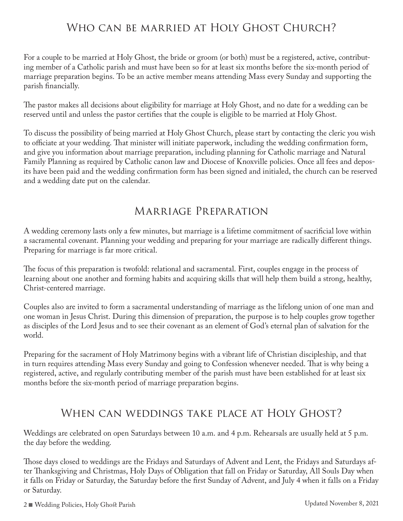# WHO CAN BE MARRIED AT HOLY GHOST CHURCH?

For a couple to be married at Holy Ghost, the bride or groom (or both) must be a registered, active, contributing member of a Catholic parish and must have been so for at least six months before the six-month period of marriage preparation begins. To be an active member means attending Mass every Sunday and supporting the parish financially.

The pastor makes all decisions about eligibility for marriage at Holy Ghost, and no date for a wedding can be reserved until and unless the pastor certifies that the couple is eligible to be married at Holy Ghost.

To discuss the possibility of being married at Holy Ghost Church, please start by contacting the cleric you wish to officiate at your wedding. That minister will initiate paperwork, including the wedding confirmation form, and give you information about marriage preparation, including planning for Catholic marriage and Natural Family Planning as required by Catholic canon law and Diocese of Knoxville policies. Once all fees and deposits have been paid and the wedding confirmation form has been signed and initialed, the church can be reserved and a wedding date put on the calendar.

### Marriage Preparation

A wedding ceremony lasts only a few minutes, but marriage is a lifetime commitment of sacrificial love within a sacramental covenant. Planning your wedding and preparing for your marriage are radically different things. Preparing for marriage is far more critical.

The focus of this preparation is twofold: relational and sacramental. First, couples engage in the process of learning about one another and forming habits and acquiring skills that will help them build a strong, healthy, Christ-centered marriage.

Couples also are invited to form a sacramental understanding of marriage as the lifelong union of one man and one woman in Jesus Christ. During this dimension of preparation, the purpose is to help couples grow together as disciples of the Lord Jesus and to see their covenant as an element of God's eternal plan of salvation for the world.

Preparing for the sacrament of Holy Matrimony begins with a vibrant life of Christian discipleship, and that in turn requires attending Mass every Sunday and going to Confession whenever needed. That is why being a registered, active, and regularly contributing member of the parish must have been established for at least six months before the six-month period of marriage preparation begins.

## When can weddings take place at Holy Ghost?

Weddings are celebrated on open Saturdays between 10 a.m. and 4 p.m. Rehearsals are usually held at 5 p.m. the day before the wedding.

Those days closed to weddings are the Fridays and Saturdays of Advent and Lent, the Fridays and Saturdays after Thanksgiving and Christmas, Holy Days of Obligation that fall on Friday or Saturday, All Souls Day when it falls on Friday or Saturday, the Saturday before the first Sunday of Advent, and July 4 when it falls on a Friday or Saturday.

2 <sup>n</sup> Wedding Policies, Holy Ghost Parish Updated November 8, 2021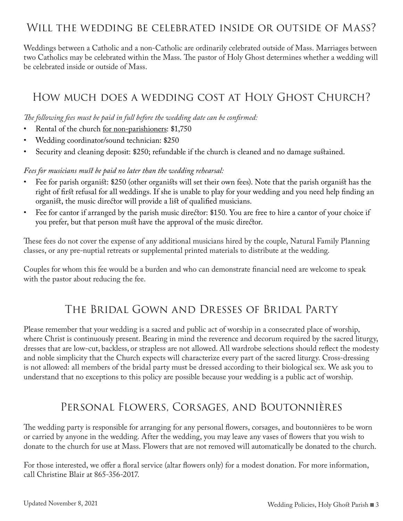## Will the wedding be celebrated inside or outside of Mass?

Weddings between a Catholic and a non-Catholic are ordinarily celebrated outside of Mass. Marriages between two Catholics may be celebrated within the Mass. The pastor of Holy Ghost determines whether a wedding will be celebrated inside or outside of Mass.

# How much does a wedding cost at Holy Ghost Church?

*The following fees must be paid in full before the wedding date can be confirmed:*

- Rental of the church <u>for non-parishioners</u>: \$1,750
- Wedding coordinator/sound technician: \$250
- Security and cleaning deposit: \$250; refundable if the church is cleaned and no damage sustained.

#### *Fees for musicians must be paid no later than the wedding rehearsal:*

- Fee for parish organist: \$250 (other organists will set their own fees). Note that the parish organist has the right of first refusal for all weddings. If she is unable to play for your wedding and you need help finding an organist, the music director will provide a list of qualified musicians.
- Fee for cantor if arranged by the parish music director: \$150. You are free to hire a cantor of your choice if you prefer, but that person must have the approval of the music director.

These fees do not cover the expense of any additional musicians hired by the couple, Natural Family Planning classes, or any pre-nuptial retreats or supplemental printed materials to distribute at the wedding.

Couples for whom this fee would be a burden and who can demonstrate financial need are welcome to speak with the pastor about reducing the fee.

## The Bridal Gown and Dresses of Bridal Party

Please remember that your wedding is a sacred and public act of worship in a consecrated place of worship, where Christ is continuously present. Bearing in mind the reverence and decorum required by the sacred liturgy, dresses that are low-cut, backless, or strapless are not allowed. All wardrobe selections should reflect the modesty and noble simplicity that the Church expects will characterize every part of the sacred liturgy. Cross-dressing is not allowed: all members of the bridal party must be dressed according to their biological sex. We ask you to understand that no exceptions to this policy are possible because your wedding is a public act of worship.

## Personal Flowers, Corsages, and Boutonnières

The wedding party is responsible for arranging for any personal flowers, corsages, and boutonnières to be worn or carried by anyone in the wedding. After the wedding, you may leave any vases of flowers that you wish to donate to the church for use at Mass. Flowers that are not removed will automatically be donated to the church.

For those interested, we offer a floral service (altar flowers only) for a modest donation. For more information, call Christine Blair at 865-356-2017.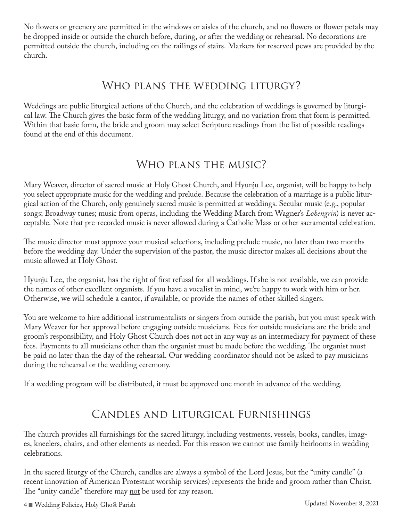No flowers or greenery are permitted in the windows or aisles of the church, and no flowers or flower petals may be dropped inside or outside the church before, during, or after the wedding or rehearsal. No decorations are permitted outside the church, including on the railings of stairs. Markers for reserved pews are provided by the church.

## Who plans the wedding liturgy?

Weddings are public liturgical actions of the Church, and the celebration of weddings is governed by liturgical law. The Church gives the basic form of the wedding liturgy, and no variation from that form is permitted. Within that basic form, the bride and groom may select Scripture readings from the list of possible readings found at the end of this document.

# WHO PLANS THE MUSIC?

Mary Weaver, director of sacred music at Holy Ghost Church, and Hyunju Lee, organist, will be happy to help you select appropriate music for the wedding and prelude. Because the celebration of a marriage is a public liturgical action of the Church, only genuinely sacred music is permitted at weddings. Secular music (e.g., popular songs; Broadway tunes; music from operas, including the Wedding March from Wagner's *Lohengrin*) is never acceptable. Note that pre-recorded music is never allowed during a Catholic Mass or other sacramental celebration.

The music director must approve your musical selections, including prelude music, no later than two months before the wedding day. Under the supervision of the pastor, the music director makes all decisions about the music allowed at Holy Ghost.

Hyunju Lee, the organist, has the right of first refusal for all weddings. If she is not available, we can provide the names of other excellent organists. If you have a vocalist in mind, we're happy to work with him or her. Otherwise, we will schedule a cantor, if available, or provide the names of other skilled singers.

You are welcome to hire additional instrumentalists or singers from outside the parish, but you must speak with Mary Weaver for her approval before engaging outside musicians. Fees for outside musicians are the bride and groom's responsibility, and Holy Ghost Church does not act in any way as an intermediary for payment of these fees. Payments to all musicians other than the organist must be made before the wedding. The organist must be paid no later than the day of the rehearsal. Our wedding coordinator should not be asked to pay musicians during the rehearsal or the wedding ceremony.

If a wedding program will be distributed, it must be approved one month in advance of the wedding.

# Candles and Liturgical Furnishings

The church provides all furnishings for the sacred liturgy, including vestments, vessels, books, candles, images, kneelers, chairs, and other elements as needed. For this reason we cannot use family heirlooms in wedding celebrations.

In the sacred liturgy of the Church, candles are always a symbol of the Lord Jesus, but the "unity candle" (a recent innovation of American Protestant worship services) represents the bride and groom rather than Christ. The "unity candle" therefore may <u>not</u> be used for any reason.

4 <sup>n</sup> Wedding Policies, Holy Ghost Parish Updated November 8, 2021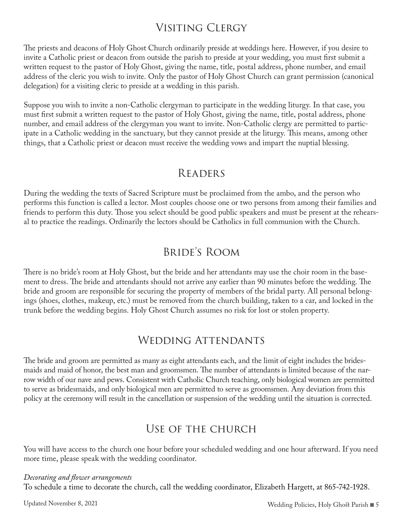# Visiting Clergy

The priests and deacons of Holy Ghost Church ordinarily preside at weddings here. However, if you desire to invite a Catholic priest or deacon from outside the parish to preside at your wedding, you must first submit a written request to the pastor of Holy Ghost, giving the name, title, postal address, phone number, and email address of the cleric you wish to invite. Only the pastor of Holy Ghost Church can grant permission (canonical delegation) for a visiting cleric to preside at a wedding in this parish.

Suppose you wish to invite a non-Catholic clergyman to participate in the wedding liturgy. In that case, you must first submit a written request to the pastor of Holy Ghost, giving the name, title, postal address, phone number, and email address of the clergyman you want to invite. Non-Catholic clergy are permitted to participate in a Catholic wedding in the sanctuary, but they cannot preside at the liturgy. This means, among other things, that a Catholic priest or deacon must receive the wedding vows and impart the nuptial blessing.

### **READERS**

During the wedding the texts of Sacred Scripture must be proclaimed from the ambo, and the person who performs this function is called a lector. Most couples choose one or two persons from among their families and friends to perform this duty. Those you select should be good public speakers and must be present at the rehearsal to practice the readings. Ordinarily the lectors should be Catholics in full communion with the Church.

# Bride's Room

There is no bride's room at Holy Ghost, but the bride and her attendants may use the choir room in the basement to dress. The bride and attendants should not arrive any earlier than 90 minutes before the wedding. The bride and groom are responsible for securing the property of members of the bridal party. All personal belongings (shoes, clothes, makeup, etc.) must be removed from the church building, taken to a car, and locked in the trunk before the wedding begins. Holy Ghost Church assumes no risk for lost or stolen property.

## WEDDING ATTENDANTS

The bride and groom are permitted as many as eight attendants each, and the limit of eight includes the bridesmaids and maid of honor, the best man and groomsmen. The number of attendants is limited because of the narrow width of our nave and pews. Consistent with Catholic Church teaching, only biological women are permitted to serve as bridesmaids, and only biological men are permitted to serve as groomsmen. Any deviation from this policy at the ceremony will result in the cancellation or suspension of the wedding until the situation is corrected.

## Use of the church

You will have access to the church one hour before your scheduled wedding and one hour afterward. If you need more time, please speak with the wedding coordinator.

#### *Decorating and flower arrangements*

To schedule a time to decorate the church, call the wedding coordinator, Elizabeth Hargett, at 865-742-1928.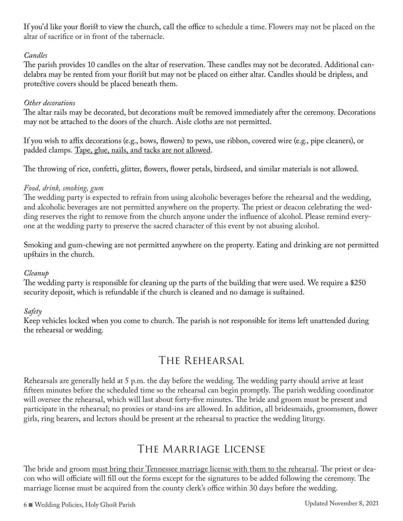If you'd like your florist to view the church, call the office to schedule a time. Flowers may not be placed on the altar of sacrifice or in front of the tabernacle.

#### *Candles*

The parish provides 10 candles on the altar of reservation. These candles may not be decorated. Additional candelabra may be rented from your florist but may not be placed on either altar. Candles should be dripless, and protective covers should be placed beneath them.

#### *Other decorations*

The altar rails may be decorated, but decorations must be removed immediately after the ceremony. Decorations may not be attached to the doors of the church. Aisle cloths are not permitted.

If you wish to affix decorations (e.g., bows, flowers) to pews, use ribbon, covered wire (e.g., pipe cleaners), or padded clamps. Tape, glue, nails, and tacks are not allowed.

The throwing of rice, confetti, glitter, flowers, flower petals, birdseed, and similar materials is not allowed.

#### *Food, drink, smoking, gum*

The wedding party is expected to refrain from using alcoholic beverages before the rehearsal and the wedding, and alcoholic beverages are not permitted anywhere on the property. The priest or deacon celebrating the wedding reserves the right to remove from the church anyone under the influence of alcohol. Please remind everyone at the wedding party to preserve the sacred character of this event by not abusing alcohol.

Smoking and gum-chewing are not permitted anywhere on the property. Eating and drinking are not permitted upstairs in the church.

#### *Cleanup*

The wedding party is responsible for cleaning up the parts of the building that were used. We require a \$250 security deposit, which is refundable if the church is cleaned and no damage is sustained.

#### *Safety*

Keep vehicles locked when you come to church. The parish is not responsible for items left unattended during the rehearsal or wedding.

# The Rehearsal

Rehearsals are generally held at 5 p.m. the day before the wedding. The wedding party should arrive at least fifteen minutes before the scheduled time so the rehearsal can begin promptly. The parish wedding coordinator will oversee the rehearsal, which will last about forty-five minutes. The bride and groom must be present and participate in the rehearsal; no proxies or stand-ins are allowed. In addition, all bridesmaids, groomsmen, flower girls, ring bearers, and lectors should be present at the rehearsal to practice the wedding liturgy.

# The Marriage License

The bride and groom must bring their Tennessee marriage license with them to the rehearsal. The priest or deacon who will officiate will fill out the forms except for the signatures to be added following the ceremony. The marriage license must be acquired from the county clerk's office within 30 days before the wedding.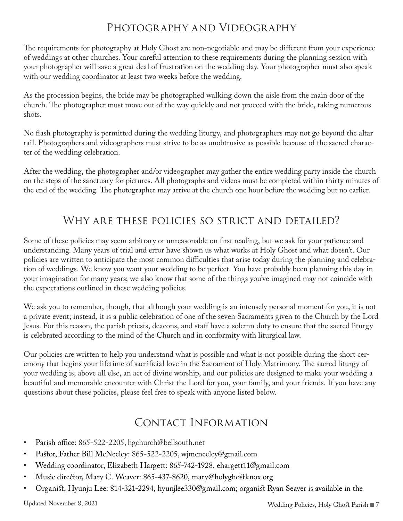# Photography and Videography

The requirements for photography at Holy Ghost are non-negotiable and may be different from your experience of weddings at other churches. Your careful attention to these requirements during the planning session with your photographer will save a great deal of frustration on the wedding day. Your photographer must also speak with our wedding coordinator at least two weeks before the wedding.

As the procession begins, the bride may be photographed walking down the aisle from the main door of the church. The photographer must move out of the way quickly and not proceed with the bride, taking numerous shots.

No flash photography is permitted during the wedding liturgy, and photographers may not go beyond the altar rail. Photographers and videographers must strive to be as unobtrusive as possible because of the sacred character of the wedding celebration.

After the wedding, the photographer and/or videographer may gather the entire wedding party inside the church on the steps of the sanctuary for pictures. All photographs and videos must be completed within thirty minutes of the end of the wedding. The photographer may arrive at the church one hour before the wedding but no earlier.

# Why are these policies so strict and detailed?

Some of these policies may seem arbitrary or unreasonable on first reading, but we ask for your patience and understanding. Many years of trial and error have shown us what works at Holy Ghost and what doesn't. Our policies are written to anticipate the most common difficulties that arise today during the planning and celebration of weddings. We know you want your wedding to be perfect. You have probably been planning this day in your imagination for many years; we also know that some of the things you've imagined may not coincide with the expectations outlined in these wedding policies.

We ask you to remember, though, that although your wedding is an intensely personal moment for you, it is not a private event; instead, it is a public celebration of one of the seven Sacraments given to the Church by the Lord Jesus. For this reason, the parish priests, deacons, and staff have a solemn duty to ensure that the sacred liturgy is celebrated according to the mind of the Church and in conformity with liturgical law.

Our policies are written to help you understand what is possible and what is not possible during the short ceremony that begins your lifetime of sacrificial love in the Sacrament of Holy Matrimony. The sacred liturgy of your wedding is, above all else, an act of divine worship, and our policies are designed to make your wedding a beautiful and memorable encounter with Christ the Lord for you, your family, and your friends. If you have any questions about these policies, please feel free to speak with anyone listed below.

# Contact Information

- Parish office: 865-522-2205, hgchurch@bellsouth.net
- Pastor, Father Bill McNeeley: 865-522-2205, wjmcneeley@gmail.com
- Wedding coordinator, Elizabeth Hargett: 865-742-1928, ehargett11@gmail.com
- Music director, Mary C. Weaver: 865-437-8620, mary@holyghostknox.org
- Organist, Hyunju Lee: 814-321-2294, hyunjlee330@gmail.com; organist Ryan Seaver is available in the